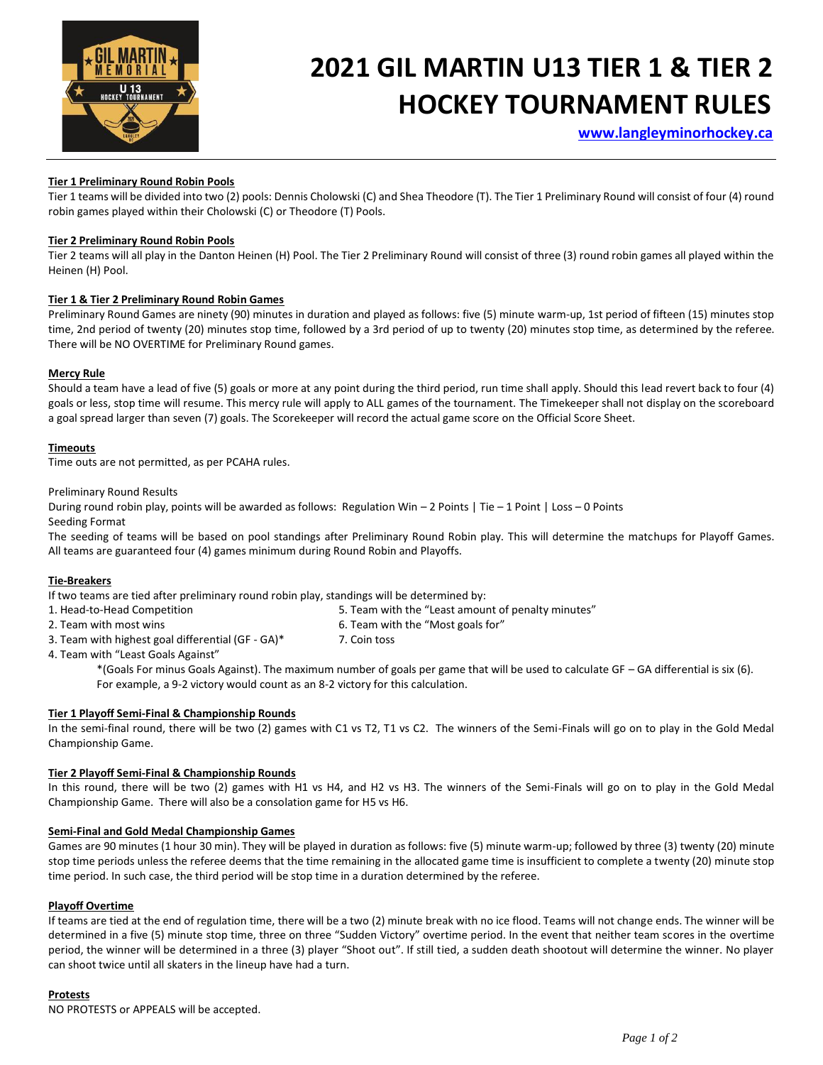

# **2021 GIL MARTIN U13 TIER 1 & TIER 2 HOCKEY TOURNAMENT RULES**

 **[www.langleyminorhockey.ca](http://www.langleyminorhockey.ca/)**

# **Tier 1 Preliminary Round Robin Pools**

Tier 1 teams will be divided into two (2) pools: Dennis Cholowski (C) and Shea Theodore (T). The Tier 1 Preliminary Round will consist of four (4) round robin games played within their Cholowski (C) or Theodore (T) Pools.

# **Tier 2 Preliminary Round Robin Pools**

Tier 2 teams will all play in the Danton Heinen (H) Pool. The Tier 2 Preliminary Round will consist of three (3) round robin games all played within the Heinen (H) Pool.

# **Tier 1 & Tier 2 Preliminary Round Robin Games**

Preliminary Round Games are ninety (90) minutes in duration and played as follows: five (5) minute warm-up, 1st period of fifteen (15) minutes stop time, 2nd period of twenty (20) minutes stop time, followed by a 3rd period of up to twenty (20) minutes stop time, as determined by the referee. There will be NO OVERTIME for Preliminary Round games.

# **Mercy Rule**

Should a team have a lead of five (5) goals or more at any point during the third period, run time shall apply. Should this lead revert back to four (4) goals or less, stop time will resume. This mercy rule will apply to ALL games of the tournament. The Timekeeper shall not display on the scoreboard a goal spread larger than seven (7) goals. The Scorekeeper will record the actual game score on the Official Score Sheet.

# **Timeouts**

Time outs are not permitted, as per PCAHA rules.

Preliminary Round Results

During round robin play, points will be awarded as follows: Regulation Win – 2 Points | Tie – 1 Point | Loss – 0 Points Seeding Format

The seeding of teams will be based on pool standings after Preliminary Round Robin play. This will determine the matchups for Playoff Games. All teams are guaranteed four (4) games minimum during Round Robin and Playoffs.

# **Tie-Breakers**

If two teams are tied after preliminary round robin play, standings will be determined by:

- 1. Head-to-Head Competition 6. Team with the "Least amount of penalty minutes"
- 2. Team with most wins example and the "Most goals for" of the "Most goals for"
- 3. Team with highest goal differential (GF GA)\* 7. Coin toss
- 
- 4. Team with "Least Goals Against"

\*(Goals For minus Goals Against). The maximum number of goals per game that will be used to calculate GF – GA differential is six (6). For example, a 9-2 victory would count as an 8-2 victory for this calculation.

# **Tier 1 Playoff Semi-Final & Championship Rounds**

In the semi-final round, there will be two (2) games with C1 vs T2, T1 vs C2. The winners of the Semi-Finals will go on to play in the Gold Medal Championship Game.

# **Tier 2 Playoff Semi-Final & Championship Rounds**

In this round, there will be two (2) games with H1 vs H4, and H2 vs H3. The winners of the Semi-Finals will go on to play in the Gold Medal Championship Game. There will also be a consolation game for H5 vs H6.

# **Semi-Final and Gold Medal Championship Games**

Games are 90 minutes (1 hour 30 min). They will be played in duration as follows: five (5) minute warm-up; followed by three (3) twenty (20) minute stop time periods unless the referee deems that the time remaining in the allocated game time is insufficient to complete a twenty (20) minute stop time period. In such case, the third period will be stop time in a duration determined by the referee.

# **Playoff Overtime**

If teams are tied at the end of regulation time, there will be a two (2) minute break with no ice flood. Teams will not change ends. The winner will be determined in a five (5) minute stop time, three on three "Sudden Victory" overtime period. In the event that neither team scores in the overtime period, the winner will be determined in a three (3) player "Shoot out". If still tied, a sudden death shootout will determine the winner. No player can shoot twice until all skaters in the lineup have had a turn.

# **Protests**

NO PROTESTS or APPEALS will be accepted.